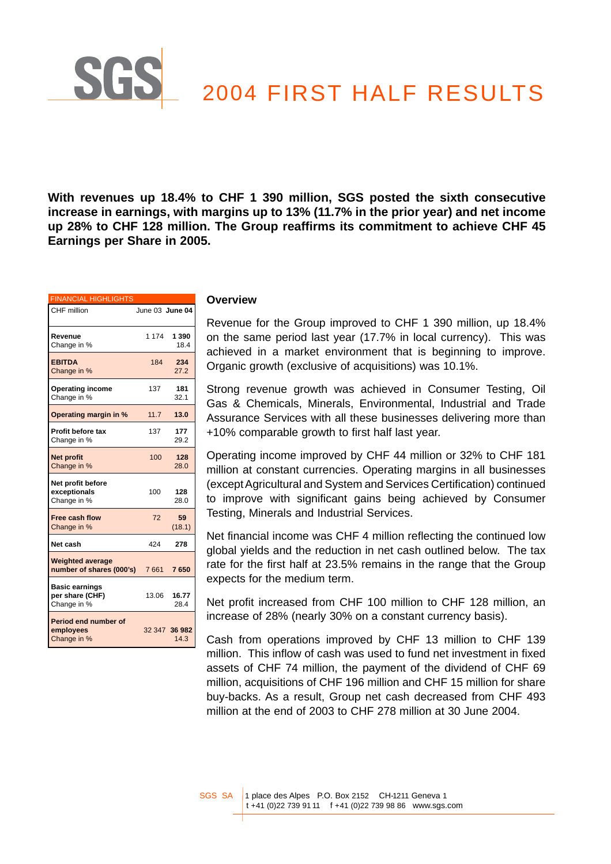# 2004 FIRST HALF RESULTS

**With revenues up 18.4% to CHF 1 390 million, SGS posted the sixth consecutive increase in earnings, with margins up to 13% (11.7% in the prior year) and net income up 28% to CHF 128 million. The Group reaffirms its commitment to achieve CHF 45 Earnings per Share in 2005.**

| <b>FINANCIAL HIGHLIGHTS</b>                             |         |                       |
|---------------------------------------------------------|---------|-----------------------|
| CHF million                                             |         | June 03 June 04       |
| Revenue<br>Change in %                                  | 1 1 7 4 | 1 3 9 0<br>18.4       |
| <b>EBITDA</b><br>Change in %                            | 184     | 234<br>27.2           |
| <b>Operating income</b><br>Change in %                  | 137     | 181<br>32.1           |
| Operating margin in %                                   | 11.7    | 13.0                  |
| <b>Profit before tax</b><br>Change in %                 | 137     | 177<br>29.2           |
| <b>Net profit</b><br>Change in %                        | 100     | 128<br>28.0           |
| Net profit before<br>exceptionals<br>Change in %        | 100     | 128<br>28.0           |
| <b>Free cash flow</b><br>Change in %                    | 72      | 59<br>(18.1)          |
| Net cash                                                | 424     | 278                   |
| <b>Weighted average</b><br>number of shares (000's)     | 7661    | 7650                  |
| <b>Basic earnings</b><br>per share (CHF)<br>Change in % | 13.06   | 16.77<br>28.4         |
| Period end number of<br>employees<br>Change in %        |         | 32 347 36 982<br>14.3 |

**SG** 

#### **Overview**

Revenue for the Group improved to CHF 1 390 million, up 18.4% on the same period last year (17.7% in local currency). This was achieved in a market environment that is beginning to improve. Organic growth (exclusive of acquisitions) was 10.1%.

Strong revenue growth was achieved in Consumer Testing, Oil Gas & Chemicals, Minerals, Environmental, Industrial and Trade Assurance Services with all these businesses delivering more than +10% comparable growth to first half last year.

Operating income improved by CHF 44 million or 32% to CHF 181 million at constant currencies. Operating margins in all businesses (except Agricultural and System and Services Certification) continued to improve with significant gains being achieved by Consumer Testing, Minerals and Industrial Services.

Net financial income was CHF 4 million reflecting the continued low global yields and the reduction in net cash outlined below. The tax rate for the first half at 23.5% remains in the range that the Group expects for the medium term.

Net profit increased from CHF 100 million to CHF 128 million, an increase of 28% (nearly 30% on a constant currency basis).

Cash from operations improved by CHF 13 million to CHF 139 million. This inflow of cash was used to fund net investment in fixed assets of CHF 74 million, the payment of the dividend of CHF 69 million, acquisitions of CHF 196 million and CHF 15 million for share buy-backs. As a result, Group net cash decreased from CHF 493 million at the end of 2003 to CHF 278 million at 30 June 2004.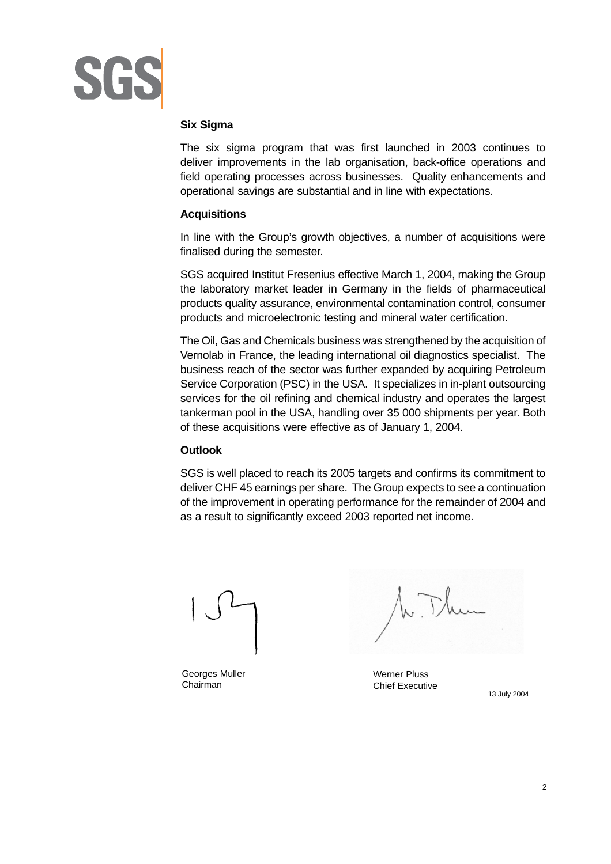

## **Six Sigma**

The six sigma program that was first launched in 2003 continues to deliver improvements in the lab organisation, back-office operations and field operating processes across businesses. Quality enhancements and operational savings are substantial and in line with expectations.

# **Acquisitions**

In line with the Group's growth objectives, a number of acquisitions were finalised during the semester.

SGS acquired Institut Fresenius effective March 1, 2004, making the Group the laboratory market leader in Germany in the fields of pharmaceutical products quality assurance, environmental contamination control, consumer products and microelectronic testing and mineral water certification.

The Oil, Gas and Chemicals business was strengthened by the acquisition of Vernolab in France, the leading international oil diagnostics specialist. The business reach of the sector was further expanded by acquiring Petroleum Service Corporation (PSC) in the USA. It specializes in in-plant outsourcing services for the oil refining and chemical industry and operates the largest tankerman pool in the USA, handling over 35 000 shipments per year. Both of these acquisitions were effective as of January 1, 2004.

## **Outlook**

SGS is well placed to reach its 2005 targets and confirms its commitment to deliver CHF 45 earnings per share. The Group expects to see a continuation of the improvement in operating performance for the remainder of 2004 and as a result to significantly exceed 2003 reported net income.

Georges Muller Chairman

Werner Pluss Chief Executive

13 July 2004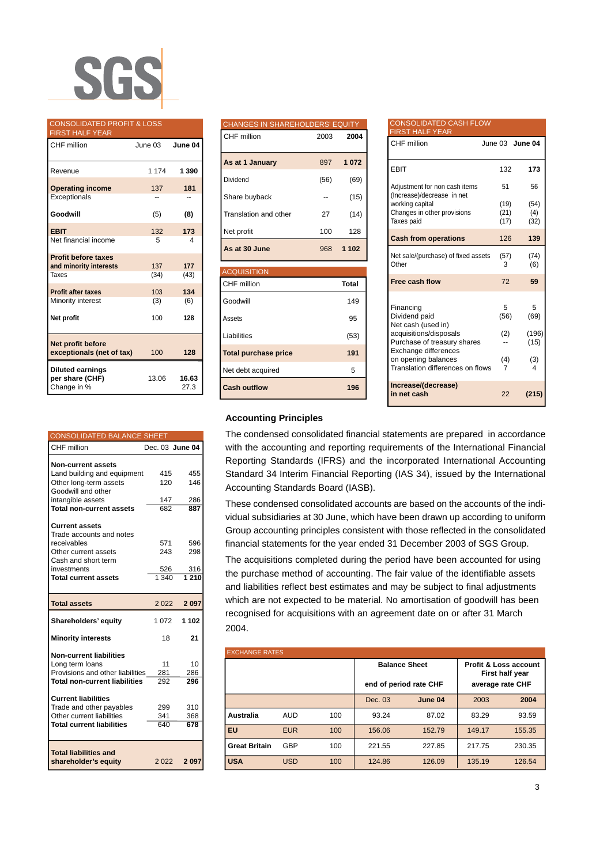

| <b>CONSOLIDATED PROFIT &amp; LOSS</b><br><b>FIRST HALF YEAR</b> |         |               |
|-----------------------------------------------------------------|---------|---------------|
| CHF million                                                     | June 03 | June 04       |
| Revenue                                                         | 1 1 7 4 | 1 3 9 0       |
| <b>Operating income</b><br>Exceptionals                         | 137     | 181           |
| Goodwill                                                        | (5)     | (8)           |
| <b>EBIT</b>                                                     | 132     | 173           |
| Net financial income                                            | 5       | 4             |
| <b>Profit before taxes</b>                                      |         |               |
| and minority interests                                          | 137     | 177           |
| Taxes                                                           | (34)    | (43)          |
| <b>Profit after taxes</b>                                       | 103     | 134           |
| Minority interest                                               | (3)     | (6)           |
| Net profit                                                      | 100     | 128           |
| Net profit before<br>exceptionals (net of tax)                  | 100     | 128           |
| <b>Diluted earnings</b><br>per share (CHF)<br>Change in %       | 13.06   | 16.63<br>27.3 |

| <b>CONSOLIDATED BALANCE SHEET</b>    |         |                 |
|--------------------------------------|---------|-----------------|
| CHF million                          |         | Dec. 03 June 04 |
| <b>Non-current assets</b>            |         |                 |
| Land building and equipment          | 415     | 455             |
| Other long-term assets               | 120     | 146             |
| Goodwill and other                   |         |                 |
| intangible assets                    | 147     | 286             |
| <b>Total non-current assets</b>      | 682     | 887             |
|                                      |         |                 |
| <b>Current assets</b>                |         |                 |
| Trade accounts and notes             |         |                 |
| receivables                          | 571     | 596             |
| Other current assets                 | 243     | 298             |
| Cash and short term                  |         |                 |
| investments                          | 526     | 316             |
| <b>Total current assets</b>          | 1340    | 1210            |
|                                      |         |                 |
| <b>Total assets</b>                  | 2 0 2 2 | 2 0 9 7         |
| Shareholders' equity                 | 1 072   | 1 102           |
| <b>Minority interests</b>            | 18      | 21              |
| <b>Non-current liabilities</b>       |         |                 |
| Long term loans                      | 11      | 10              |
| Provisions and other liabilities     | 281     | 286             |
| <b>Total non-current liabilities</b> | 292     | 296             |
|                                      |         |                 |
| <b>Current liabilities</b>           |         |                 |
| Trade and other payables             | 299     | 310             |
| Other current liabilities            | 341     | 368             |
| <b>Total current liabilities</b>     | 640     | 678             |
|                                      |         |                 |
| <b>Total liabilities and</b>         |         |                 |
| shareholder's equity                 | 2 0 2 2 | 2097            |

| <b>CHANGES IN SHAREHOLDERS' EQUITY</b> |      |              |
|----------------------------------------|------|--------------|
| CHF million                            | 2003 | 2004         |
| As at 1 January                        | 897  | 1072         |
| Dividend                               | (56) | (69)         |
| Share buyback                          |      | (15)         |
| Translation and other                  | 27   | (14)         |
| Net profit                             | 100  | 128          |
| As at 30 June                          | 968  | 1 1 0 2      |
| <b>ACQUISITION</b>                     |      |              |
| CHF million                            |      | <b>Total</b> |
| Goodwill                               |      | 149          |
|                                        |      |              |
| Assets                                 |      | 95           |
| Liabilities                            |      | (53)         |
| <b>Total purchase price</b>            |      | 191          |
| Net debt acquired                      |      | 5            |

| <b>CONSOLIDATED CASH FLOW</b><br><b>FIRST HALF YEAR</b>                       |              |                 |
|-------------------------------------------------------------------------------|--------------|-----------------|
| CHF million                                                                   |              | June 03 June 04 |
| <b>EBIT</b>                                                                   | 132          | 173             |
| Adjustment for non cash items<br>(Increase)/decrease in net                   | 51           | 56              |
| working capital                                                               | (19)         | (54)            |
| Changes in other provisions<br>Taxes paid                                     | (21)<br>(17) | (4)<br>(32)     |
|                                                                               |              |                 |
| <b>Cash from operations</b>                                                   | 126          | 139             |
| Net sale/(purchase) of fixed assets<br>Other                                  | (57)<br>3    | (74)<br>(6)     |
| Free cash flow                                                                | 72           | 59              |
| Financing<br>Dividend paid<br>Net cash (used in)                              | 5<br>(56)    | 5<br>(69)       |
| acquisitions/disposals<br>Purchase of treasury shares<br>Exchange differences | (2)          | (196)<br>(15)   |
| on opening balances<br>Translation differences on flows                       | (4)<br>7     | (3)<br>4        |
| Increase/(decrease)<br>in net cash                                            | 22           | (215)           |

#### **Accounting Principles**

The condensed consolidated financial statements are prepared in accordance with the accounting and reporting requirements of the International Financial Reporting Standards (IFRS) and the incorporated International Accounting Standard 34 Interim Financial Reporting (IAS 34), issued by the International Accounting Standards Board (IASB).

These condensed consolidated accounts are based on the accounts of the individual subsidiaries at 30 June, which have been drawn up according to uniform Group accounting principles consistent with those reflected in the consolidated financial statements for the year ended 31 December 2003 of SGS Group.

The acquisitions completed during the period have been accounted for using the purchase method of accounting. The fair value of the identifiable assets and liabilities reflect best estimates and may be subject to final adjustments which are not expected to be material. No amortisation of goodwill has been recognised for acquisitions with an agreement date on or after 31 March 2004.

| <b>EXCHANGE RATES</b> |            |     |                        |         |                                                     |        |
|-----------------------|------------|-----|------------------------|---------|-----------------------------------------------------|--------|
|                       |            |     | <b>Balance Sheet</b>   |         | <b>Profit &amp; Loss account</b><br>First half year |        |
|                       |            |     | end of period rate CHF |         | average rate CHF                                    |        |
|                       |            |     | Dec. 03                | June 04 | 2003                                                | 2004   |
| Australia             | <b>AUD</b> | 100 | 93.24                  | 87.02   | 83.29                                               | 93.59  |
| EU                    | <b>EUR</b> | 100 | 156.06                 | 152.79  | 149.17                                              | 155.35 |
| <b>Great Britain</b>  | <b>GBP</b> | 100 | 221.55                 | 227.85  | 217.75                                              | 230.35 |
| <b>USA</b>            | <b>USD</b> | 100 | 124.86                 | 126.09  | 135.19                                              | 126.54 |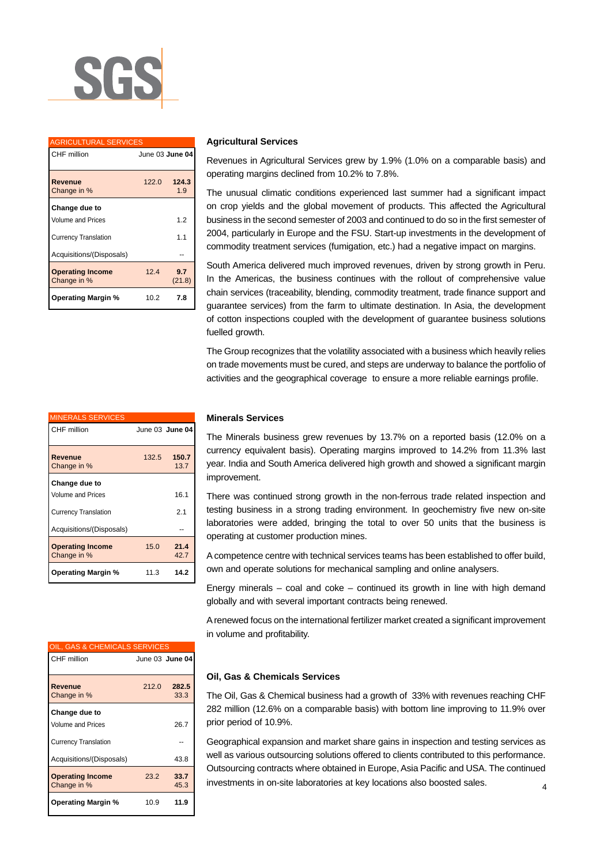

| <b>AGRICULTURAL SERVICES</b>           |                 |               |  |
|----------------------------------------|-----------------|---------------|--|
| CHF million                            | June 03 June 04 |               |  |
| Revenue<br>Change in %                 | 122.0           | 124.3<br>1.9  |  |
| Change due to                          |                 |               |  |
| Volume and Prices                      |                 | 1.2           |  |
| <b>Currency Translation</b>            |                 | 1.1           |  |
| Acquisitions/(Disposals)               |                 |               |  |
| <b>Operating Income</b><br>Change in % | 124             | 9.7<br>(21.8) |  |
| <b>Operating Margin %</b>              | 10.2            | 7.8           |  |

#### **Agricultural Services**

Revenues in Agricultural Services grew by 1.9% (1.0% on a comparable basis) and operating margins declined from 10.2% to 7.8%.

The unusual climatic conditions experienced last summer had a significant impact on crop yields and the global movement of products. This affected the Agricultural business in the second semester of 2003 and continued to do so in the first semester of 2004, particularly in Europe and the FSU. Start-up investments in the development of commodity treatment services (fumigation, etc.) had a negative impact on margins.

South America delivered much improved revenues, driven by strong growth in Peru. In the Americas, the business continues with the rollout of comprehensive value chain services (traceability, blending, commodity treatment, trade finance support and guarantee services) from the farm to ultimate destination. In Asia, the development of cotton inspections coupled with the development of guarantee business solutions fuelled growth.

The Group recognizes that the volatility associated with a business which heavily relies on trade movements must be cured, and steps are underway to balance the portfolio of activities and the geographical coverage to ensure a more reliable earnings profile.

| <b>MINERALS SERVICES</b>               |       |                 |
|----------------------------------------|-------|-----------------|
| <b>CHF</b> million                     |       | June 03 June 04 |
| Revenue<br>Change in %                 | 132.5 | 150.7<br>13.7   |
| Change due to                          |       |                 |
| <b>Volume and Prices</b>               |       | 16.1            |
| <b>Currency Translation</b>            |       | 2.1             |
| Acquisitions/(Disposals)               |       |                 |
| <b>Operating Income</b><br>Change in % | 15.0  | 21.4<br>42.7    |
| <b>Operating Margin %</b>              | 11.3  | 14.2            |

| OIL, GAS & CHEMICALS SERVICES          |       |                 |
|----------------------------------------|-------|-----------------|
| CHF million                            |       | June 03 June 04 |
| Revenue<br>Change in %                 | 212.0 | 282.5<br>33.3   |
|                                        |       |                 |
| Change due to                          |       |                 |
| <b>Volume and Prices</b>               |       | 26.7            |
| <b>Currency Translation</b>            |       |                 |
| Acquisitions/(Disposals)               |       | 43.8            |
| <b>Operating Income</b><br>Change in % | 23.2  | 33.7<br>45.3    |
| <b>Operating Margin %</b>              | 10.9  | 11.9            |

#### **Minerals Services**

The Minerals business grew revenues by 13.7% on a reported basis (12.0% on a currency equivalent basis). Operating margins improved to 14.2% from 11.3% last year. India and South America delivered high growth and showed a significant margin improvement.

There was continued strong growth in the non-ferrous trade related inspection and testing business in a strong trading environment. In geochemistry five new on-site laboratories were added, bringing the total to over 50 units that the business is operating at customer production mines.

A competence centre with technical services teams has been established to offer build, own and operate solutions for mechanical sampling and online analysers.

Energy minerals – coal and coke – continued its growth in line with high demand globally and with several important contracts being renewed.

A renewed focus on the international fertilizer market created a significant improvement in volume and profitability.

#### **Oil, Gas & Chemicals Services**

The Oil, Gas & Chemical business had a growth of 33% with revenues reaching CHF 282 million (12.6% on a comparable basis) with bottom line improving to 11.9% over prior period of 10.9%.

4 Geographical expansion and market share gains in inspection and testing services as well as various outsourcing solutions offered to clients contributed to this performance. Outsourcing contracts where obtained in Europe, Asia Pacific and USA. The continued investments in on-site laboratories at key locations also boosted sales.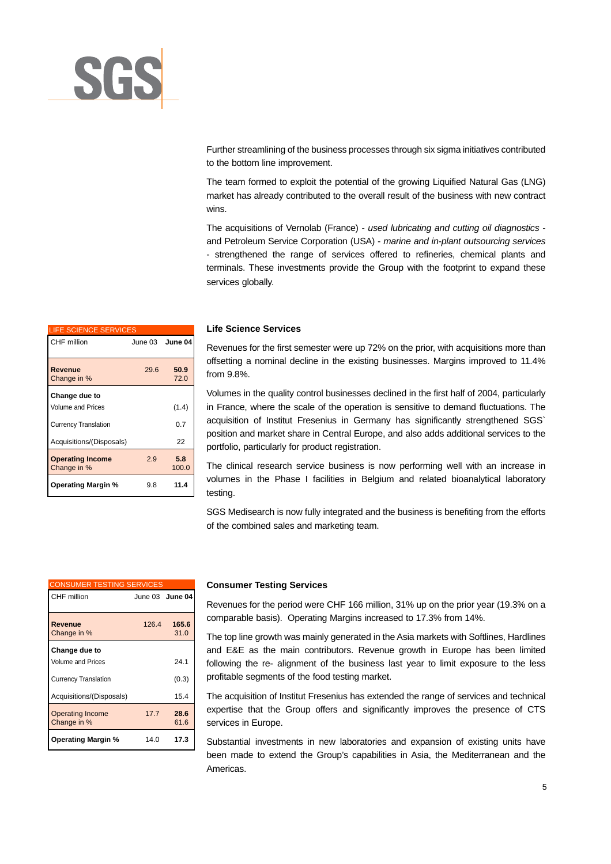

Further streamlining of the business processes through six sigma initiatives contributed to the bottom line improvement.

The team formed to exploit the potential of the growing Liquified Natural Gas (LNG) market has already contributed to the overall result of the business with new contract wins.

The acquisitions of Vernolab (France) - *used lubricating and cutting oil diagnostics* and Petroleum Service Corporation (USA) - *marine and in-plant outsourcing services* - strengthened the range of services offered to refineries, chemical plants and terminals. These investments provide the Group with the footprint to expand these services globally.

| <b>LIFE SCIENCE SERVICES</b>           |      |                 |
|----------------------------------------|------|-----------------|
| CHF million                            |      | June 03 June 04 |
| Revenue<br>Change in %                 | 29.6 | 50.9<br>72.0    |
| Change due to                          |      |                 |
| Volume and Prices                      |      | (1.4)           |
| <b>Currency Translation</b>            |      | 0.7             |
| Acquisitions/(Disposals)               |      | 22              |
| <b>Operating Income</b><br>Change in % | 2.9  | 5.8<br>100.0    |
| <b>Operating Margin %</b>              | 9.8  | 11.4            |

#### **Life Science Services**

Revenues for the first semester were up 72% on the prior, with acquisitions more than offsetting a nominal decline in the existing businesses. Margins improved to 11.4% from 9.8%.

Volumes in the quality control businesses declined in the first half of 2004, particularly in France, where the scale of the operation is sensitive to demand fluctuations. The acquisition of Institut Fresenius in Germany has significantly strengthened SGS` position and market share in Central Europe, and also adds additional services to the portfolio, particularly for product registration.

The clinical research service business is now performing well with an increase in volumes in the Phase I facilities in Belgium and related bioanalytical laboratory testing.

SGS Medisearch is now fully integrated and the business is benefiting from the efforts of the combined sales and marketing team.

| <b>CONSUMER TESTING SERVICES</b>       |       |                 |
|----------------------------------------|-------|-----------------|
| CHF million                            |       | June 03 June 04 |
| <b>Revenue</b><br>Change in %          | 126.4 | 165.6<br>31.0   |
| Change due to                          |       |                 |
| <b>Volume and Prices</b>               |       | 241             |
| <b>Currency Translation</b>            |       | (0.3)           |
| Acquisitions/(Disposals)               |       | 15.4            |
| <b>Operating Income</b><br>Change in % | 17.7  | 28.6<br>61.6    |
| <b>Operating Margin %</b>              | 14.0  | 17.3            |

#### **Consumer Testing Services**

Revenues for the period were CHF 166 million, 31% up on the prior year (19.3% on a comparable basis). Operating Margins increased to 17.3% from 14%.

The top line growth was mainly generated in the Asia markets with Softlines, Hardlines and E&E as the main contributors. Revenue growth in Europe has been limited following the re- alignment of the business last year to limit exposure to the less profitable segments of the food testing market.

The acquisition of Institut Fresenius has extended the range of services and technical expertise that the Group offers and significantly improves the presence of CTS services in Europe.

Substantial investments in new laboratories and expansion of existing units have been made to extend the Group's capabilities in Asia, the Mediterranean and the Americas.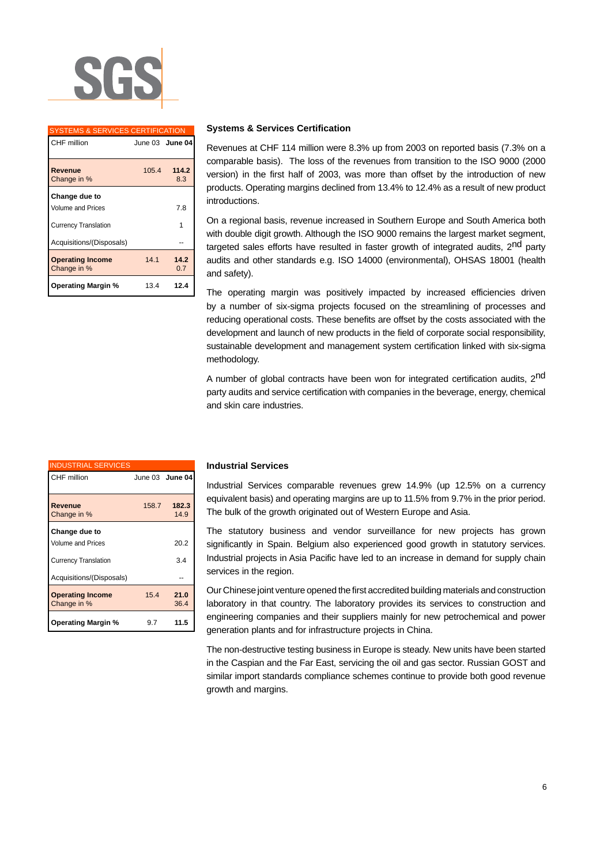

| <b>SYSTEMS &amp; SERVICES CERTIFICATION</b> |       |                 |
|---------------------------------------------|-------|-----------------|
| CHF million                                 |       | June 03 June 04 |
|                                             |       |                 |
| Revenue<br>Change in %                      | 105.4 | 114.2<br>8.3    |
| Change due to                               |       |                 |
| <b>Volume and Prices</b>                    |       | 7.8             |
| <b>Currency Translation</b>                 |       |                 |
| Acquisitions/(Disposals)                    |       |                 |
| <b>Operating Income</b><br>Change in %      | 14.1  | 14.2<br>0.7     |
| <b>Operating Margin %</b>                   | 13.4  | 12.4            |

#### **Systems & Services Certification**

Revenues at CHF 114 million were 8.3% up from 2003 on reported basis (7.3% on a comparable basis). The loss of the revenues from transition to the ISO 9000 (2000 version) in the first half of 2003, was more than offset by the introduction of new products. Operating margins declined from 13.4% to 12.4% as a result of new product introductions.

On a regional basis, revenue increased in Southern Europe and South America both with double digit growth. Although the ISO 9000 remains the largest market segment, targeted sales efforts have resulted in faster growth of integrated audits, 2<sup>nd</sup> party audits and other standards e.g. ISO 14000 (environmental), OHSAS 18001 (health and safety).

The operating margin was positively impacted by increased efficiencies driven by a number of six-sigma projects focused on the streamlining of processes and reducing operational costs. These benefits are offset by the costs associated with the development and launch of new products in the field of corporate social responsibility, sustainable development and management system certification linked with six-sigma methodology.

A number of global contracts have been won for integrated certification audits, 2<sup>nd</sup> party audits and service certification with companies in the beverage, energy, chemical and skin care industries.

| <b>INDUSTRIAL SERVICES</b>             |       |                 |
|----------------------------------------|-------|-----------------|
| CHF million                            |       | June 03 June 04 |
|                                        |       |                 |
| Revenue                                | 158.7 | 182.3           |
| Change in %                            |       | 14.9            |
| Change due to                          |       |                 |
| Volume and Prices                      |       | 20.2            |
| <b>Currency Translation</b>            |       | 3.4             |
| Acquisitions/(Disposals)               |       |                 |
| <b>Operating Income</b><br>Change in % | 15.4  | 21.0<br>36.4    |
| <b>Operating Margin %</b>              | 9.7   | 11.5            |

#### **Industrial Services**

Industrial Services comparable revenues grew 14.9% (up 12.5% on a currency equivalent basis) and operating margins are up to 11.5% from 9.7% in the prior period. The bulk of the growth originated out of Western Europe and Asia.

The statutory business and vendor surveillance for new projects has grown significantly in Spain. Belgium also experienced good growth in statutory services. Industrial projects in Asia Pacific have led to an increase in demand for supply chain services in the region.

Our Chinese joint venture opened the first accredited building materials and construction laboratory in that country. The laboratory provides its services to construction and engineering companies and their suppliers mainly for new petrochemical and power generation plants and for infrastructure projects in China.

The non-destructive testing business in Europe is steady. New units have been started in the Caspian and the Far East, servicing the oil and gas sector. Russian GOST and similar import standards compliance schemes continue to provide both good revenue growth and margins.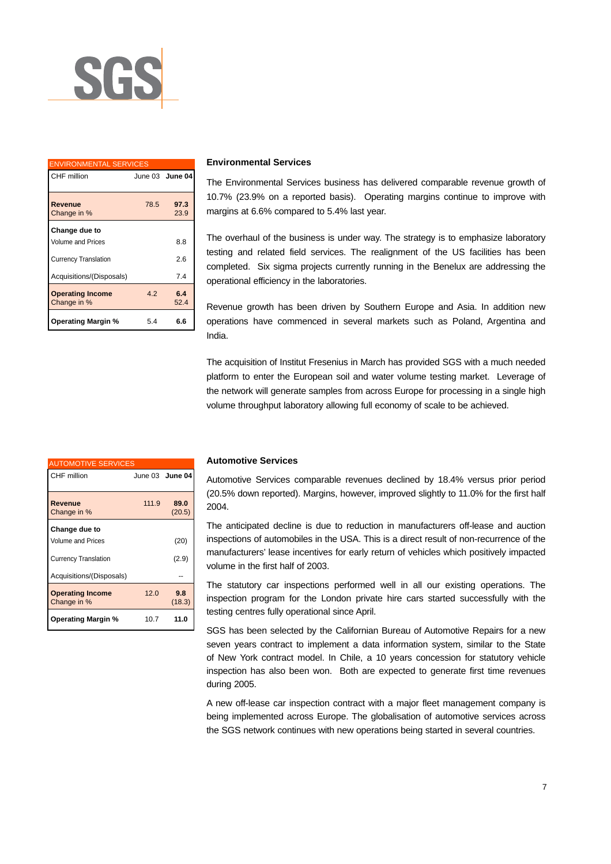

| <b>ENVIRONMENTAL SERVICES</b>          |      |                 |  |
|----------------------------------------|------|-----------------|--|
| CHF million                            |      | June 03 June 04 |  |
| Revenue<br>Change in %                 | 78.5 | 97.3<br>23.9    |  |
| Change due to                          |      |                 |  |
| <b>Volume and Prices</b>               |      | 8.8             |  |
| <b>Currency Translation</b>            |      | 2.6             |  |
| Acquisitions/(Disposals)               |      | 74              |  |
| <b>Operating Income</b><br>Change in % | 42   | 6.4<br>52.4     |  |
| <b>Operating Margin %</b>              | 5.4  | 6.6             |  |

#### **Environmental Services**

The Environmental Services business has delivered comparable revenue growth of 10.7% (23.9% on a reported basis). Operating margins continue to improve with margins at 6.6% compared to 5.4% last year.

The overhaul of the business is under way. The strategy is to emphasize laboratory testing and related field services. The realignment of the US facilities has been completed. Six sigma projects currently running in the Benelux are addressing the operational efficiency in the laboratories.

Revenue growth has been driven by Southern Europe and Asia. In addition new operations have commenced in several markets such as Poland, Argentina and India.

The acquisition of Institut Fresenius in March has provided SGS with a much needed platform to enter the European soil and water volume testing market. Leverage of the network will generate samples from across Europe for processing in a single high volume throughput laboratory allowing full economy of scale to be achieved.

| <b>AUTOMOTIVE SERVICES</b>             |       |                        |
|----------------------------------------|-------|------------------------|
| CHF million                            |       | June 03 <b>June 04</b> |
| Revenue<br>Change in %                 | 111.9 | 89.0<br>(20.5)         |
| Change due to                          |       |                        |
| <b>Volume and Prices</b>               |       | (20)                   |
| <b>Currency Translation</b>            |       | (2.9)                  |
| Acquisitions/(Disposals)               |       |                        |
| <b>Operating Income</b><br>Change in % | 12.0  | 9.8<br>(18.3)          |
| <b>Operating Margin %</b>              | 10.7  | 11.0                   |

#### **Automotive Services**

Automotive Services comparable revenues declined by 18.4% versus prior period (20.5% down reported). Margins, however, improved slightly to 11.0% for the first half 2004.

The anticipated decline is due to reduction in manufacturers off-lease and auction inspections of automobiles in the USA. This is a direct result of non-recurrence of the manufacturers' lease incentives for early return of vehicles which positively impacted volume in the first half of 2003.

The statutory car inspections performed well in all our existing operations. The inspection program for the London private hire cars started successfully with the testing centres fully operational since April.

SGS has been selected by the Californian Bureau of Automotive Repairs for a new seven years contract to implement a data information system, similar to the State of New York contract model. In Chile, a 10 years concession for statutory vehicle inspection has also been won. Both are expected to generate first time revenues during 2005.

A new off-lease car inspection contract with a major fleet management company is being implemented across Europe. The globalisation of automotive services across the SGS network continues with new operations being started in several countries.